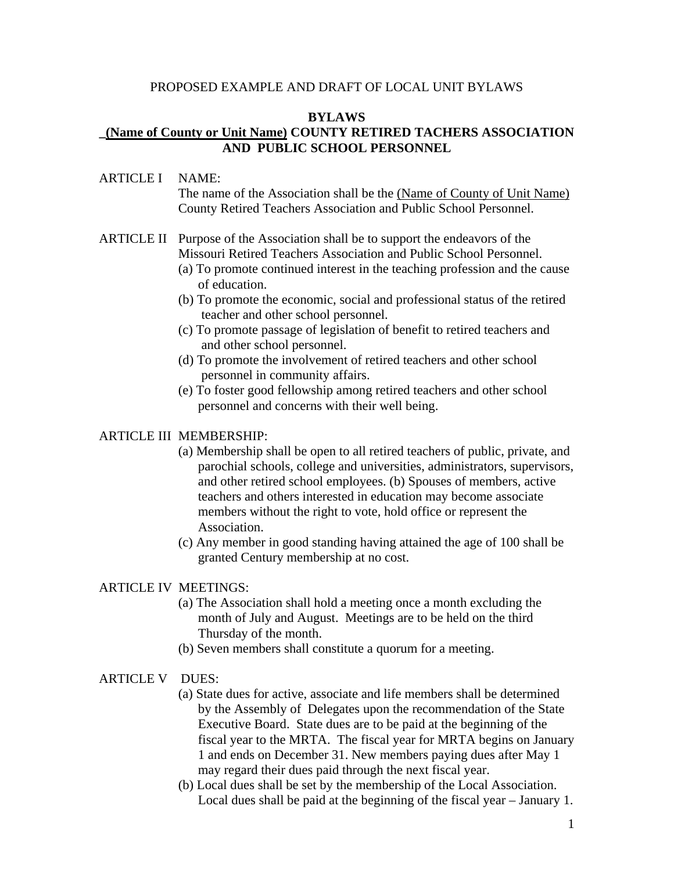#### PROPOSED EXAMPLE AND DRAFT OF LOCAL UNIT BYLAWS

#### **BYLAWS**

## **\_(Name of County or Unit Name) COUNTY RETIRED TACHERS ASSOCIATION AND PUBLIC SCHOOL PERSONNEL**

#### ARTICLE I NAME:

The name of the Association shall be the (Name of County of Unit Name) County Retired Teachers Association and Public School Personnel.

# ARTICLE II Purpose of the Association shall be to support the endeavors of the Missouri Retired Teachers Association and Public School Personnel.

- (a) To promote continued interest in the teaching profession and the cause of education.
- (b) To promote the economic, social and professional status of the retired teacher and other school personnel.
- (c) To promote passage of legislation of benefit to retired teachers and and other school personnel.
- (d) To promote the involvement of retired teachers and other school personnel in community affairs.
- (e) To foster good fellowship among retired teachers and other school personnel and concerns with their well being.

#### ARTICLE III MEMBERSHIP:

- (a) Membership shall be open to all retired teachers of public, private, and parochial schools, college and universities, administrators, supervisors, and other retired school employees. (b) Spouses of members, active teachers and others interested in education may become associate members without the right to vote, hold office or represent the Association.
- (c) Any member in good standing having attained the age of 100 shall be granted Century membership at no cost.

#### ARTICLE IV MEETINGS:

- (a) The Association shall hold a meeting once a month excluding the month of July and August. Meetings are to be held on the third Thursday of the month.
- (b) Seven members shall constitute a quorum for a meeting.

#### ARTICLE V DUES:

- (a) State dues for active, associate and life members shall be determined by the Assembly of Delegates upon the recommendation of the State Executive Board. State dues are to be paid at the beginning of the fiscal year to the MRTA. The fiscal year for MRTA begins on January 1 and ends on December 31. New members paying dues after May 1 may regard their dues paid through the next fiscal year.
- (b) Local dues shall be set by the membership of the Local Association. Local dues shall be paid at the beginning of the fiscal year – January 1.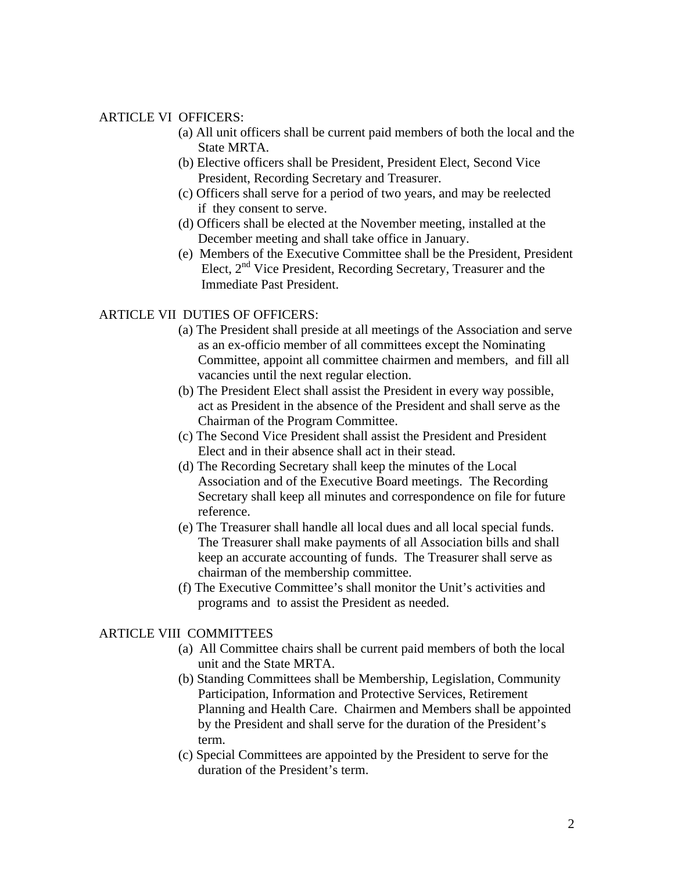#### ARTICLE VI OFFICERS:

- (a) All unit officers shall be current paid members of both the local and the State MRTA.
- (b) Elective officers shall be President, President Elect, Second Vice President, Recording Secretary and Treasurer.
- (c) Officers shall serve for a period of two years, and may be reelected if they consent to serve.
- (d) Officers shall be elected at the November meeting, installed at the December meeting and shall take office in January.
- (e) Members of the Executive Committee shall be the President, President Elect,  $2<sup>nd</sup>$  Vice President, Recording Secretary, Treasurer and the Immediate Past President.

### ARTICLE VII DUTIES OF OFFICERS:

- (a) The President shall preside at all meetings of the Association and serve as an ex-officio member of all committees except the Nominating Committee, appoint all committee chairmen and members, and fill all vacancies until the next regular election.
- (b) The President Elect shall assist the President in every way possible, act as President in the absence of the President and shall serve as the Chairman of the Program Committee.
- (c) The Second Vice President shall assist the President and President Elect and in their absence shall act in their stead.
- (d) The Recording Secretary shall keep the minutes of the Local Association and of the Executive Board meetings. The Recording Secretary shall keep all minutes and correspondence on file for future reference.
- (e) The Treasurer shall handle all local dues and all local special funds. The Treasurer shall make payments of all Association bills and shall keep an accurate accounting of funds. The Treasurer shall serve as chairman of the membership committee.
- (f) The Executive Committee's shall monitor the Unit's activities and programs and to assist the President as needed.

#### ARTICLE VIII COMMITTEES

- (a) All Committee chairs shall be current paid members of both the local unit and the State MRTA.
- (b) Standing Committees shall be Membership, Legislation, Community Participation, Information and Protective Services, Retirement Planning and Health Care. Chairmen and Members shall be appointed by the President and shall serve for the duration of the President's term.
- (c) Special Committees are appointed by the President to serve for the duration of the President's term.